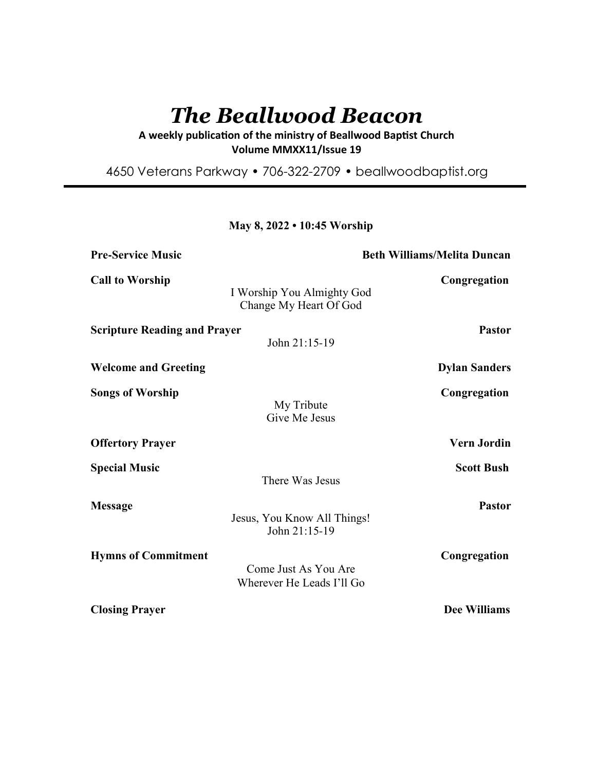# *The Beallwood Beacon*

A weekly publication of the ministry of Beallwood Baptist Church **Volume MMXX11/Issue 19** 

4650 Veterans Parkway • 706-322-2709 • beallwoodbaptist.org

## **May 8, 2022 • 10:45 Worship**

| <b>Pre-Service Music</b>            |                                                      | <b>Beth Williams/Melita Duncan</b> |  |
|-------------------------------------|------------------------------------------------------|------------------------------------|--|
| <b>Call to Worship</b>              | I Worship You Almighty God<br>Change My Heart Of God | Congregation                       |  |
| <b>Scripture Reading and Prayer</b> | John 21:15-19                                        | <b>Pastor</b>                      |  |
| <b>Welcome and Greeting</b>         |                                                      | <b>Dylan Sanders</b>               |  |
| <b>Songs of Worship</b>             | My Tribute<br>Give Me Jesus                          | Congregation                       |  |
| <b>Offertory Prayer</b>             |                                                      | <b>Vern Jordin</b>                 |  |
| <b>Special Music</b>                | There Was Jesus                                      | <b>Scott Bush</b>                  |  |
| <b>Message</b>                      | Jesus, You Know All Things!<br>John 21:15-19         | <b>Pastor</b>                      |  |
| <b>Hymns of Commitment</b>          | Come Just As You Are<br>Wherever He Leads I'll Go    | Congregation                       |  |
| <b>Closing Prayer</b>               |                                                      | <b>Dee Williams</b>                |  |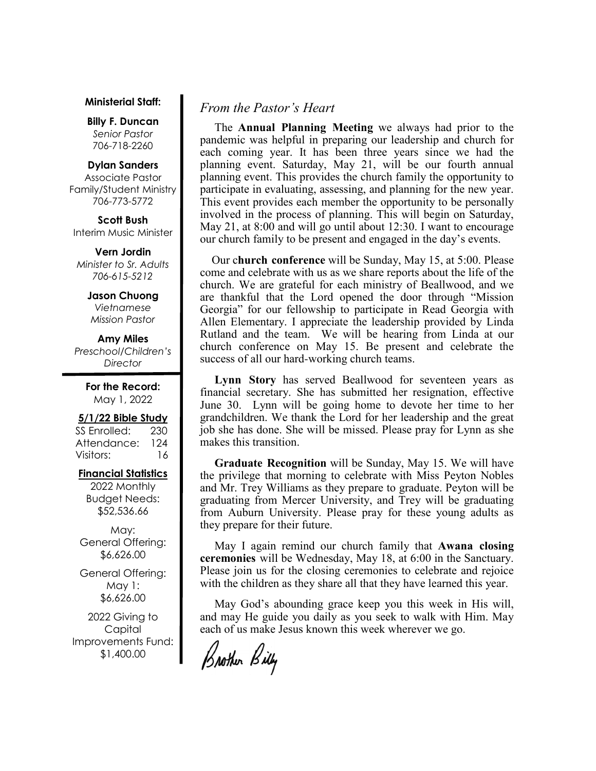#### **Ministerial Staff:**

**Billy F. Duncan** *Senior Pastor*  706-718-2260

#### **Dylan Sanders**

Associate Pastor Family/Student Ministry 706-773-5772

**Scott Bush**  Interim Music Minister

**Vern Jordin** *Minister to Sr. Adults 706-615-5212* 

> **Jason Chuong**  *Vietnamese*

*Mission Pastor* 

**Amy Miles** *Preschool/Children's Director* 

> **For the Record:**  May 1, 2022

#### **5/1/22 Bible Study**

SS Enrolled: 230 Attendance: 124 Visitors: 16

# **Financial Statistics**

2022 Monthly Budget Needs: \$52,536.66

May: General Offering: \$6,626.00

General Offering: May 1: \$6,626.00

2022 Giving to Capital Improvements Fund: \$1,400.00

# *From the Pastor's Heart*

 The **Annual Planning Meeting** we always had prior to the pandemic was helpful in preparing our leadership and church for each coming year. It has been three years since we had the planning event. Saturday, May 21, will be our fourth annual planning event. This provides the church family the opportunity to participate in evaluating, assessing, and planning for the new year. This event provides each member the opportunity to be personally involved in the process of planning. This will begin on Saturday, May 21, at 8:00 and will go until about 12:30. I want to encourage our church family to be present and engaged in the day's events.

 Our c**hurch conference** will be Sunday, May 15, at 5:00. Please come and celebrate with us as we share reports about the life of the church. We are grateful for each ministry of Beallwood, and we are thankful that the Lord opened the door through "Mission Georgia" for our fellowship to participate in Read Georgia with Allen Elementary. I appreciate the leadership provided by Linda Rutland and the team. We will be hearing from Linda at our church conference on May 15. Be present and celebrate the success of all our hard-working church teams.

 **Lynn Story** has served Beallwood for seventeen years as financial secretary. She has submitted her resignation, effective June 30. Lynn will be going home to devote her time to her grandchildren. We thank the Lord for her leadership and the great job she has done. She will be missed. Please pray for Lynn as she makes this transition.

 **Graduate Recognition** will be Sunday, May 15. We will have the privilege that morning to celebrate with Miss Peyton Nobles and Mr. Trey Williams as they prepare to graduate. Peyton will be graduating from Mercer University, and Trey will be graduating from Auburn University. Please pray for these young adults as they prepare for their future.

 May I again remind our church family that **Awana closing ceremonies** will be Wednesday, May 18, at 6:00 in the Sanctuary. Please join us for the closing ceremonies to celebrate and rejoice with the children as they share all that they have learned this year.

 May God's abounding grace keep you this week in His will, and may He guide you daily as you seek to walk with Him. May each of us make Jesus known this week wherever we go.

Brother Billy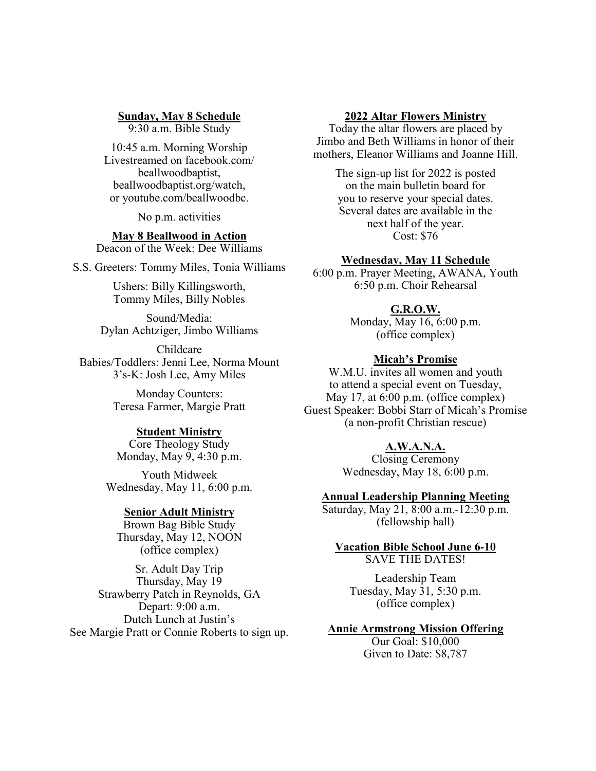# **Sunday, May 8 Schedule**

9:30 a.m. Bible Study

10:45 a.m. Morning Worship Livestreamed on facebook.com/ beallwoodbaptist, beallwoodbaptist.org/watch, or youtube.com/beallwoodbc.

No p.m. activities

# **May 8 Beallwood in Action**

Deacon of the Week: Dee Williams

S.S. Greeters: Tommy Miles, Tonia Williams

Ushers: Billy Killingsworth, Tommy Miles, Billy Nobles

Sound/Media: Dylan Achtziger, Jimbo Williams

Childcare Babies/Toddlers: Jenni Lee, Norma Mount 3's-K: Josh Lee, Amy Miles

> Monday Counters: Teresa Farmer, Margie Pratt

#### **Student Ministry**

Core Theology Study Monday, May 9, 4:30 p.m.

Youth Midweek Wednesday, May 11, 6:00 p.m.

#### **Senior Adult Ministry**

Brown Bag Bible Study Thursday, May 12, NOON (office complex)

Sr. Adult Day Trip Thursday, May 19 Strawberry Patch in Reynolds, GA Depart: 9:00 a.m. Dutch Lunch at Justin's See Margie Pratt or Connie Roberts to sign up.

#### **2022 Altar Flowers Ministry**

Today the altar flowers are placed by Jimbo and Beth Williams in honor of their mothers, Eleanor Williams and Joanne Hill.

> The sign-up list for 2022 is posted on the main bulletin board for you to reserve your special dates. Several dates are available in the next half of the year. Cost: \$76

#### **Wednesday, May 11 Schedule**

6:00 p.m. Prayer Meeting, AWANA, Youth 6:50 p.m. Choir Rehearsal

## **G.R.O.W.**

Monday, May 16, 6:00 p.m. (office complex)

#### **Micah's Promise**

W.M.U. invites all women and youth to attend a special event on Tuesday, May 17, at 6:00 p.m. (office complex) Guest Speaker: Bobbi Starr of Micah's Promise (a non-profit Christian rescue)

### **A.W.A.N.A.**

Closing Ceremony Wednesday, May 18, 6:00 p.m.

## **Annual Leadership Planning Meeting**

Saturday, May 21, 8:00 a.m.-12:30 p.m. (fellowship hall)

#### **Vacation Bible School June 6-10** SAVE THE DATES!

Leadership Team Tuesday, May 31, 5:30 p.m. (office complex)

#### **Annie Armstrong Mission Offering**

Our Goal: \$10,000 Given to Date: \$8,787